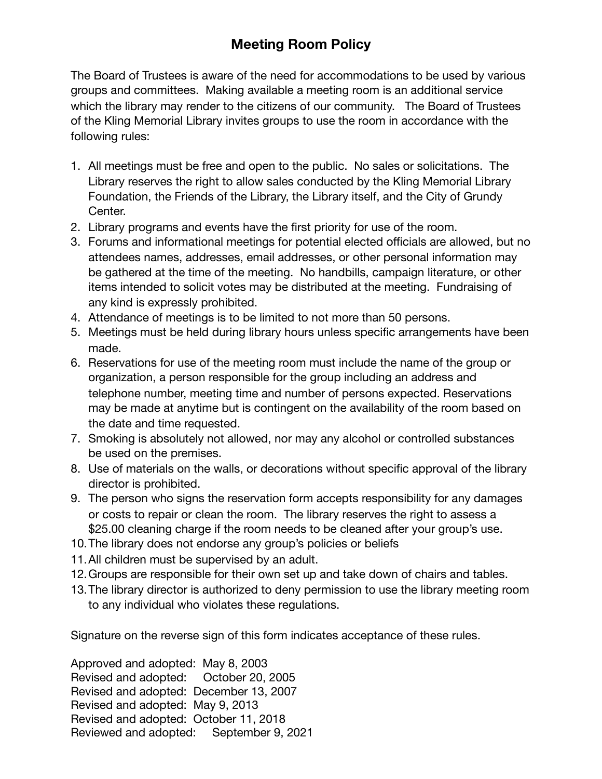## **Meeting Room Policy**

The Board of Trustees is aware of the need for accommodations to be used by various groups and committees. Making available a meeting room is an additional service which the library may render to the citizens of our community. The Board of Trustees of the Kling Memorial Library invites groups to use the room in accordance with the following rules:

- 1. All meetings must be free and open to the public. No sales or solicitations. The Library reserves the right to allow sales conducted by the Kling Memorial Library Foundation, the Friends of the Library, the Library itself, and the City of Grundy Center.
- 2. Library programs and events have the first priority for use of the room.
- 3. Forums and informational meetings for potential elected officials are allowed, but no attendees names, addresses, email addresses, or other personal information may be gathered at the time of the meeting. No handbills, campaign literature, or other items intended to solicit votes may be distributed at the meeting. Fundraising of any kind is expressly prohibited.
- 4. Attendance of meetings is to be limited to not more than 50 persons.
- 5. Meetings must be held during library hours unless specific arrangements have been made.
- 6. Reservations for use of the meeting room must include the name of the group or organization, a person responsible for the group including an address and telephone number, meeting time and number of persons expected. Reservations may be made at anytime but is contingent on the availability of the room based on the date and time requested.
- 7. Smoking is absolutely not allowed, nor may any alcohol or controlled substances be used on the premises.
- 8. Use of materials on the walls, or decorations without specific approval of the library director is prohibited.
- 9. The person who signs the reservation form accepts responsibility for any damages or costs to repair or clean the room. The library reserves the right to assess a \$25.00 cleaning charge if the room needs to be cleaned after your group's use.
- 10.The library does not endorse any group's policies or beliefs
- 11.All children must be supervised by an adult.
- 12.Groups are responsible for their own set up and take down of chairs and tables.
- 13.The library director is authorized to deny permission to use the library meeting room to any individual who violates these regulations.

Signature on the reverse sign of this form indicates acceptance of these rules.

Approved and adopted: May 8, 2003 Revised and adopted: October 20, 2005 Revised and adopted: December 13, 2007 Revised and adopted: May 9, 2013 Revised and adopted: October 11, 2018 Reviewed and adopted: September 9, 2021